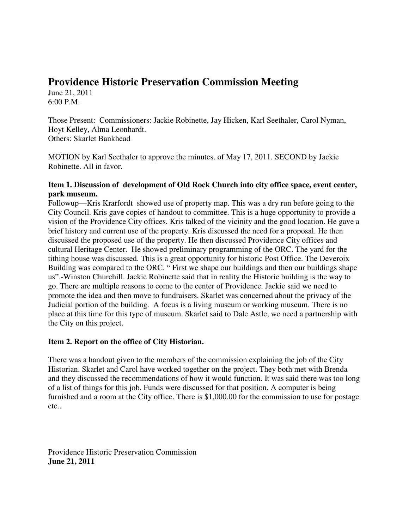# **Providence Historic Preservation Commission Meeting**

June 21, 2011 6:00 P.M.

Those Present: Commissioners: Jackie Robinette, Jay Hicken, Karl Seethaler, Carol Nyman, Hoyt Kelley, Alma Leonhardt. Others: Skarlet Bankhead

MOTION by Karl Seethaler to approve the minutes. of May 17, 2011. SECOND by Jackie Robinette. All in favor.

## **Item 1. Discussion of development of Old Rock Church into city office space, event center, park museum.**

Followup—Kris Krarfordt showed use of property map. This was a dry run before going to the City Council. Kris gave copies of handout to committee. This is a huge opportunity to provide a vision of the Providence City offices. Kris talked of the vicinity and the good location. He gave a brief history and current use of the property. Kris discussed the need for a proposal. He then discussed the proposed use of the property. He then discussed Providence City offices and cultural Heritage Center. He showed preliminary programming of the ORC. The yard for the tithing house was discussed. This is a great opportunity for historic Post Office. The Deveroix Building was compared to the ORC. " First we shape our buildings and then our buildings shape us".-Winston Churchill. Jackie Robinette said that in reality the Historic building is the way to go. There are multiple reasons to come to the center of Providence. Jackie said we need to promote the idea and then move to fundraisers. Skarlet was concerned about the privacy of the Judicial portion of the building. A focus is a living museum or working museum. There is no place at this time for this type of museum. Skarlet said to Dale Astle, we need a partnership with the City on this project.

# **Item 2. Report on the office of City Historian.**

There was a handout given to the members of the commission explaining the job of the City Historian. Skarlet and Carol have worked together on the project. They both met with Brenda and they discussed the recommendations of how it would function. It was said there was too long of a list of things for this job. Funds were discussed for that position. A computer is being furnished and a room at the City office. There is \$1,000.00 for the commission to use for postage etc..

Providence Historic Preservation Commission **June 21, 2011**